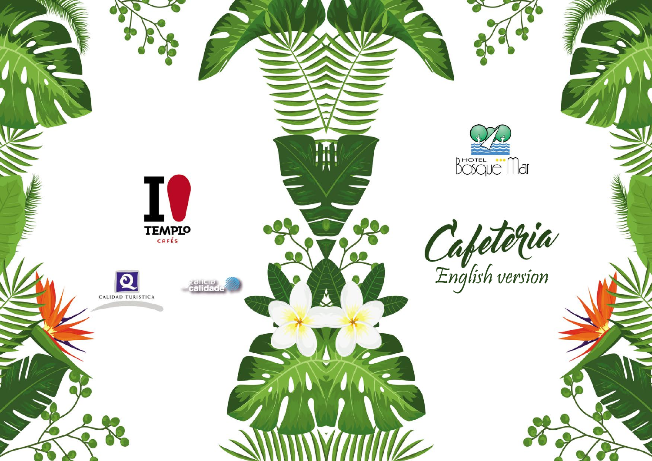